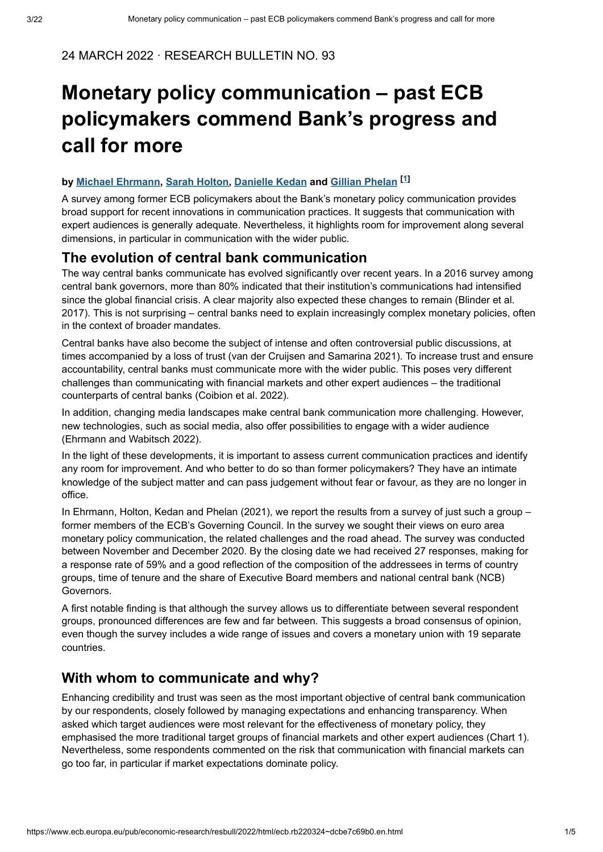#### 24 MARCH 2022 · RESEARCH BULLETIN NO. 93

# **Monetary policy communication – past ECB policymakers commend Bank's progress and call for more**

#### **by, [,](https://www.ecb.europa.eu/pub/research/authors/profiles/sarah-holton.en.html)and [ ] Michael Ehrmann Sarah Holton Danielle Kedan [Gillian Phelan](https://www.ecb.europa.eu/pub/research/authors/profiles/gillian-phelan.en.html) <sup>1</sup>**

A survey among former ECB policymakers about the Bank's monetary policy communication provides broad support for recent innovations in communication practices. It suggests that communication with expert audiences is generally adequate. Nevertheless, it highlights room for improvement along several dimensions, in particular in communication with the wider public.

## **The evolution of central bank communication**

The way central banks communicate has evolved significantly over recent years. In a 2016 survey among central bank governors, more than 80% indicated that their institution's communications had intensified since the global financial crisis. A clear majority also expected these changes to remain (Blinder et al. 2017). This is not surprising – central banks need to explain increasingly complex monetary policies, often in the context of broader mandates.

Central banks have also become the subject of intense and often controversial public discussions, at times accompanied by a loss of trust (van der Cruijsen and Samarina 2021). To increase trust and ensure accountability, central banks must communicate more with the wider public. This poses very different challenges than communicating with financial markets and other expert audiences – the traditional counterparts of central banks (Coibion et al. 2022).

In addition, changing media landscapes make central bank communication more challenging. However, new technologies, such as social media, also offer possibilities to engage with a wider audience (Ehrmann and Wabitsch 2022).

In the light of these developments, it is important to assess current communication practices and identify any room for improvement. And who better to do so than former policymakers? They have an intimate knowledge of the subject matter and can pass judgement without fear or favour, as they are no longer in office.

In Ehrmann, Holton, Kedan and Phelan (2021), we report the results from a survey of just such a group – former members of the ECB's Governing Council. In the survey we sought their views on euro area monetary policy communication, the related challenges and the road ahead. The survey was conducted between November and December 2020. By the closing date we had received 27 responses, making for a response rate of 59% and a good reflection of the composition of the addressees in terms of country groups, time of tenure and the share of Executive Board members and national central bank (NCB) Governors.

A first notable finding is that although the survey allows us to differentiate between several respondent groups, pronounced differences are few and far between. This suggests a broad consensus of opinion, even though the survey includes a wide range of issues and covers a monetary union with 19 separate countries.

# **With whom to communicate and why?**

Enhancing credibility and trust was seen as the most important objective of central bank communication by our respondents, closely followed by managing expectations and enhancing transparency. When asked which target audiences were most relevant for the effectiveness of monetary policy, they emphasised the more traditional target groups of financial markets and other expert audiences (Chart 1). Nevertheless, some respondents commented on the risk that communication with financial markets can go too far, in particular if market expectations dominate policy.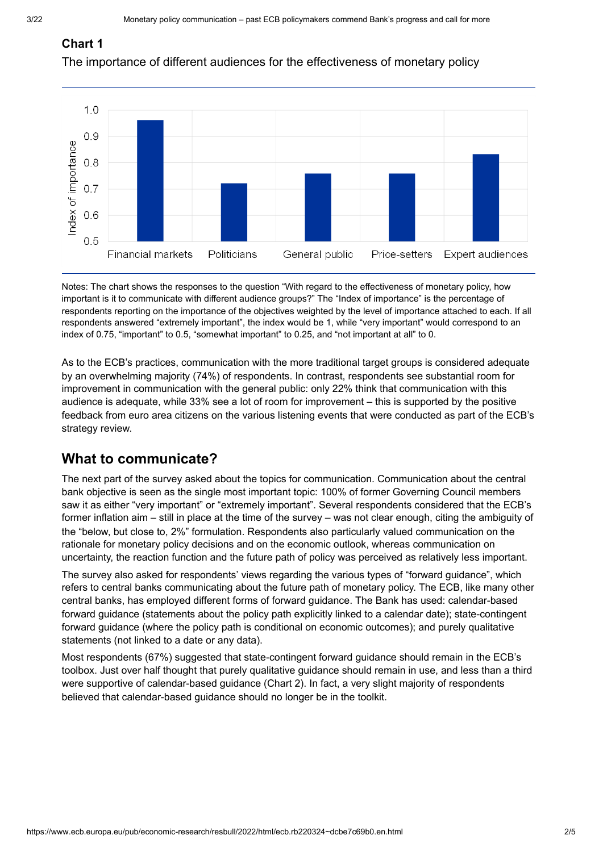#### **Chart 1**

The importance of different audiences for the effectiveness of monetary policy



Notes: The chart shows the responses to the question "With regard to the effectiveness of monetary policy, how important is it to communicate with different audience groups?" The "Index of importance" is the percentage of respondents reporting on the importance of the objectives weighted by the level of importance attached to each. If all respondents answered "extremely important", the index would be 1, while "very important" would correspond to an index of 0.75, "important" to 0.5, "somewhat important" to 0.25, and "not important at all" to 0.

As to the ECB's practices, communication with the more traditional target groups is considered adequate by an overwhelming majority (74%) of respondents. In contrast, respondents see substantial room for improvement in communication with the general public: only 22% think that communication with this audience is adequate, while 33% see a lot of room for improvement – this is supported by the positive feedback from euro area citizens on the various listening events that were conducted as part of the ECB's strategy review.

# **What to communicate?**

The next part of the survey asked about the topics for communication. Communication about the central bank objective is seen as the single most important topic: 100% of former Governing Council members saw it as either "very important" or "extremely important". Several respondents considered that the ECB's former inflation aim – still in place at the time of the survey – was not clear enough, citing the ambiguity of the "below, but close to, 2%" formulation. Respondents also particularly valued communication on the rationale for monetary policy decisions and on the economic outlook, whereas communication on uncertainty, the reaction function and the future path of policy was perceived as relatively less important.

The survey also asked for respondents' views regarding the various types of "forward guidance", which refers to central banks communicating about the future path of monetary policy. The ECB, like many other central banks, has employed different forms of forward guidance. The Bank has used: calendar-based forward guidance (statements about the policy path explicitly linked to a calendar date); state-contingent forward guidance (where the policy path is conditional on economic outcomes); and purely qualitative statements (not linked to a date or any data).

Most respondents (67%) suggested that state-contingent forward guidance should remain in the ECB's toolbox. Just over half thought that purely qualitative guidance should remain in use, and less than a third were supportive of calendar-based guidance (Chart 2). In fact, a very slight majority of respondents believed that calendar-based guidance should no longer be in the toolkit.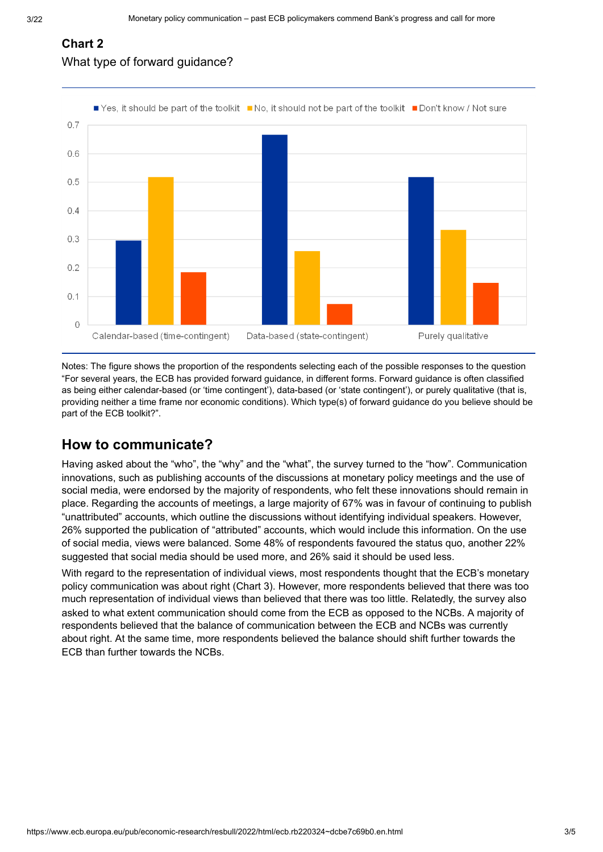## **Chart 2** What type of forward guidance?



Notes: The figure shows the proportion of the respondents selecting each of the possible responses to the question "For several years, the ECB has provided forward guidance, in different forms. Forward guidance is often classified as being either calendar-based (or 'time contingent'), data-based (or 'state contingent'), or purely qualitative (that is, providing neither a time frame nor economic conditions). Which type(s) of forward guidance do you believe should be part of the ECB toolkit?".

# **How to communicate?**

Having asked about the "who", the "why" and the "what", the survey turned to the "how". Communication innovations, such as publishing accounts of the discussions at monetary policy meetings and the use of social media, were endorsed by the majority of respondents, who felt these innovations should remain in place. Regarding the accounts of meetings, a large majority of 67% was in favour of continuing to publish "unattributed" accounts, which outline the discussions without identifying individual speakers. However, 26% supported the publication of "attributed" accounts, which would include this information. On the use of social media, views were balanced. Some 48% of respondents favoured the status quo, another 22% suggested that social media should be used more, and 26% said it should be used less.

With regard to the representation of individual views, most respondents thought that the ECB's monetary policy communication was about right (Chart 3). However, more respondents believed that there was too much representation of individual views than believed that there was too little. Relatedly, the survey also asked to what extent communication should come from the ECB as opposed to the NCBs. A majority of respondents believed that the balance of communication between the ECB and NCBs was currently about right. At the same time, more respondents believed the balance should shift further towards the ECB than further towards the NCBs.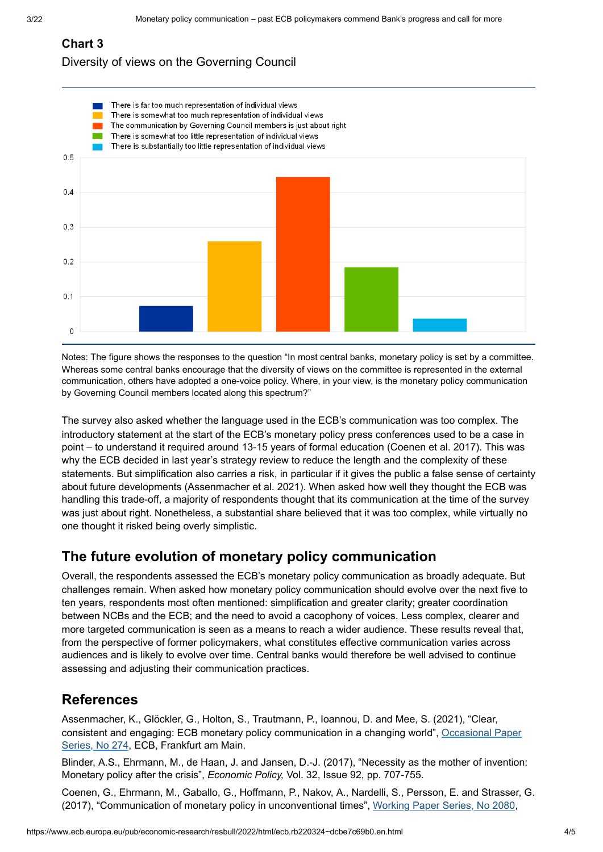## **Chart 3**

#### Diversity of views on the Governing Council



Notes: The figure shows the responses to the question "In most central banks, monetary policy is set by a committee. Whereas some central banks encourage that the diversity of views on the committee is represented in the external communication, others have adopted a one-voice policy. Where, in your view, is the monetary policy communication by Governing Council members located along this spectrum?"

The survey also asked whether the language used in the ECB's communication was too complex. The introductory statement at the start of the ECB's monetary policy press conferences used to be a case in point – to understand it required around 13-15 years of formal education (Coenen et al. 2017). This was why the ECB decided in last year's strategy review to reduce the length and the complexity of these statements. But simplification also carries a risk, in particular if it gives the public a false sense of certainty about future developments (Assenmacher et al. 2021). When asked how well they thought the ECB was handling this trade-off, a majority of respondents thought that its communication at the time of the survey was just about right. Nonetheless, a substantial share believed that it was too complex, while virtually no one thought it risked being overly simplistic.

# **The future evolution of monetary policy communication**

Overall, the respondents assessed the ECB's monetary policy communication as broadly adequate. But challenges remain. When asked how monetary policy communication should evolve over the next five to ten years, respondents most often mentioned: simplification and greater clarity; greater coordination between NCBs and the ECB; and the need to avoid a cacophony of voices. Less complex, clearer and more targeted communication is seen as a means to reach a wider audience. These results reveal that, from the perspective of former policymakers, what constitutes effective communication varies across audiences and is likely to evolve over time. Central banks would therefore be well advised to continue assessing and adjusting their communication practices.

# **References**

Assenmacher, K., Glöckler, G., Holton, S., Trautmann, P., Ioannou, D. and Mee, S. (2021), "Clear, [consistent and engaging: ECB monetary policy communication in a changing world",](https://www.ecb.europa.eu/pub/pdf/scpops/ecb.op274~9aca14e6f6.en.pdf?63436ac843159bdf4afcf0115e7f146f) Occasional Paper Series, No 274, ECB, Frankfurt am Main.

Blinder, A.S., Ehrmann, M., de Haan, J. and Jansen, D.-J. (2017), "Necessity as the mother of invention: Monetary policy after the crisis", *Economic Policy,* Vol. 32, Issue 92, pp. 707-755.

Coenen, G., Ehrmann, M., Gaballo, G., Hoffmann, P., Nakov, A., Nardelli, S., Persson, E. and Strasser, G. (2017), "Communication of monetary policy in unconventional times", Working Paper Series, No 2080,